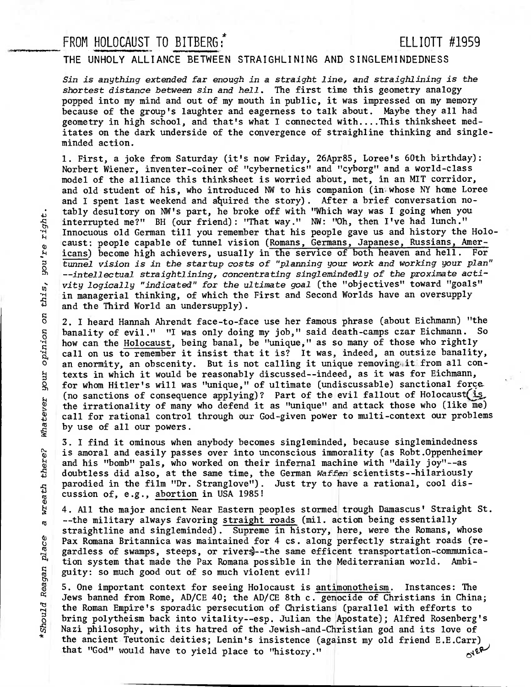## FROM HOLOCAUST TO BITBERG: ELLIOTT #1959

## **THE UNHOLY ALLIANCE BETWEEN STRAIGHLINING AND SINGLEMINDEDNESS**

Sin is anything extended far enough in a straight line, and straighlining is the shortest distance between sin and hell. The first time this geometry analogy popped into my mind and out of my mouth in public, it was impressed on my memory because of the group's laughter and eagerness to talk about. Maybe they all had geometry in high school, and that's what I connected with....This thinksheet meditates on the dark underside of the convergence of straighline thinking and singleminded action.

1. First, a joke from Saturday (it's now Friday, 26Apr85, Loree's 60th birthday): Norbert Wiener, inventer-coiner of "cybernetics" and "cyborg" and a world-class model of the alliance this thinksheet is worried about, met, in an MIT corridor, and old student of his, who introduced NW to his companion (in whose NY home Loree and I spent last weekend and aquired the story). After a brief conversation notably desultory on NW's part, he broke off with "Which way was I going when you interrupted me?" BH (our friend): "That way." NW: "Oh, then I've had lunch." Innocuous old German till you remember that his people gave us and history the Holocaust: people capable of tunnel vision (Romans, Germans, Japanese, Russians, Americans) become high achievers, usually in the service of both heaven and hell. For tunnel vision is in the startup costs of "planning your work and working your plan" --intellectual straightlining, concentrating singlemindedly of the proximate activity logically "indicated" for the ultimate goal (the "objectives" toward "goals" in managerial thinking, of which the First and Second Worlds have an oversupply and the Third World an undersupply).

2. I heard Hannah Ahrendt face-to-face use her famous phrase (about Eichmann) "the banality of evil." "I was only doing my job," said death-camps czar Eichmann. So how can the Holocaust, being banal, be "unique," as so many of those who rightly call on us to remember it insist that it is? It was, indeed, an outsize banality,  $\sigma$  an enormity, an obscenity. But is not calling it unique removing it from all contexts in which it would be reasonably discussed--indeed, as it was for Eichmann, for whom Hitler's will was "unique," of ultimate (undis texts in which it would be reasonably discussed--indeed, as it was for Eichmann, for whom Hitler's will was "unique," of ultimate (undiscussable) sanctional force. Fractions of consequence applying)? Part of the evil fallout of Holocaust(is the irrationality of many who defend it as "unique" and attack those who (like me) call for rational control through our God-given power to multi the irrationality of many who defend it as "unique" and attack those who (like me) • call for rational control through our God-given power to multi-context our problems by use of all our powers.

3. I find it ominous when anybody becomes singleminded, because singlemindedness • is amoral and easily passes over into unconscious immorality (as Robt.Oppenheimer<br>and his "bomb" pals, who worked on their infernal machine with "daily joy"--as<br>doubtless did also, at the same time, the German Waffen sci and his "bomb" pals, who worked on their infernal machine with "daily joy"--as doubtless did also, at the same time, the German Waffen scientists--hilariously parodied in the film "Dr. Stranglove"). Just try to have a rational, cool disparodied in the film "Dr. Stranglove").<br>
ducssion of, e.g., abortion in USA 1985!<br>  $\frac{1}{8}$  4. All the major ancient Near Eastern p

4. All the major ancient Near Eastern peoples stormed trough Damascus' Straight St. <sub>n</sub> --the military always favoring straight roads (mil. action being essentially straightline and singleminded). Supreme in history, here, were the Romans, whose Pax Romana Britannica was maintained for 4 cs. along perfectly straight roads (re-• tion system that made the Pax Romana possible in the Mediterranian world. Ambiguity: so much good out of so much violent evil!

m gardless of swamps, steeps, or rivers)--the same efficent transportation-communication system that made the Pax Romana possible in the Mediterranian world. Ambiguity: so much good out of so much violent evil!<br>5. One impo 5. One important context for seeing Holocaust is antimonotheism. Instances: The Jews banned from Rome, AD/CE 40; the AD/CE 8th c. genocide of Christians in China; the Roman Empire's sporadic persecution of Christians (parallel with efforts to bring polytheism back into vitality--esp. Julian **the 'Apostate);** Alfred Rosenberg's Nazi philosophy, with its hatred of the Jewish-and-Christian god and its love of the ancient Teutonic deities; Lenin's insistence (against my old friend E.E.Carr)<br>that "God" would have to yield place to "history." that "God" would have to yield place to "history."